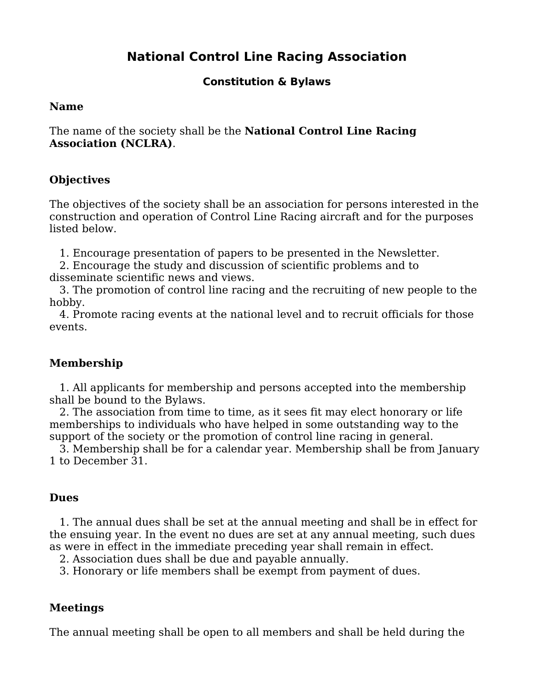# **National Control Line Racing Association**

# **Constitution & Bylaws**

#### **Name**

The name of the society shall be the **National Control Line Racing Association (NCLRA)**.

# **Objectives**

The objectives of the society shall be an association for persons interested in the construction and operation of Control Line Racing aircraft and for the purposes listed below.

1. Encourage presentation of papers to be presented in the Newsletter.

2. Encourage the study and discussion of scientific problems and to disseminate scientific news and views.

3. The promotion of control line racing and the recruiting of new people to the hobby.

4. Promote racing events at the national level and to recruit officials for those events.

# **Membership**

1. All applicants for membership and persons accepted into the membership shall be bound to the Bylaws.

2. The association from time to time, as it sees fit may elect honorary or life memberships to individuals who have helped in some outstanding way to the support of the society or the promotion of control line racing in general.

3. Membership shall be for a calendar year. Membership shall be from January 1 to December 31.

# **Dues**

1. The annual dues shall be set at the annual meeting and shall be in effect for the ensuing year. In the event no dues are set at any annual meeting, such dues as were in effect in the immediate preceding year shall remain in effect.

2. Association dues shall be due and payable annually.

3. Honorary or life members shall be exempt from payment of dues.

# **Meetings**

The annual meeting shall be open to all members and shall be held during the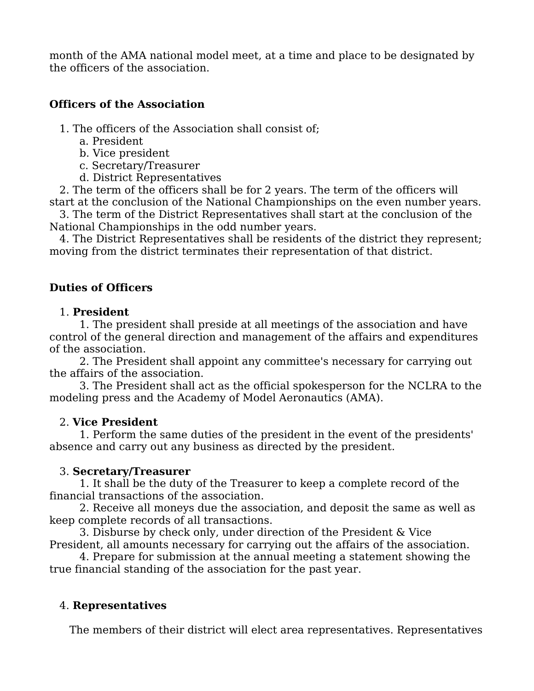month of the AMA national model meet, at a time and place to be designated by the officers of the association.

### **Officers of the Association**

- 1. The officers of the Association shall consist of;
	- a. President
	- b. Vice president
	- c. Secretary/Treasurer
	- d. District Representatives

2. The term of the officers shall be for 2 years. The term of the officers will start at the conclusion of the National Championships on the even number years.

3. The term of the District Representatives shall start at the conclusion of the National Championships in the odd number years.

4. The District Representatives shall be residents of the district they represent; moving from the district terminates their representation of that district.

### **Duties of Officers**

#### 1. **President**

1. The president shall preside at all meetings of the association and have control of the general direction and management of the affairs and expenditures of the association.

2. The President shall appoint any committee's necessary for carrying out the affairs of the association.

3. The President shall act as the official spokesperson for the NCLRA to the modeling press and the Academy of Model Aeronautics (AMA).

#### 2. **Vice President**

1. Perform the same duties of the president in the event of the presidents' absence and carry out any business as directed by the president.

#### 3. **Secretary/Treasurer**

1. It shall be the duty of the Treasurer to keep a complete record of the financial transactions of the association.

2. Receive all moneys due the association, and deposit the same as well as keep complete records of all transactions.

3. Disburse by check only, under direction of the President & Vice President, all amounts necessary for carrying out the affairs of the association.

4. Prepare for submission at the annual meeting a statement showing the true financial standing of the association for the past year.

# 4. **Representatives**

The members of their district will elect area representatives. Representatives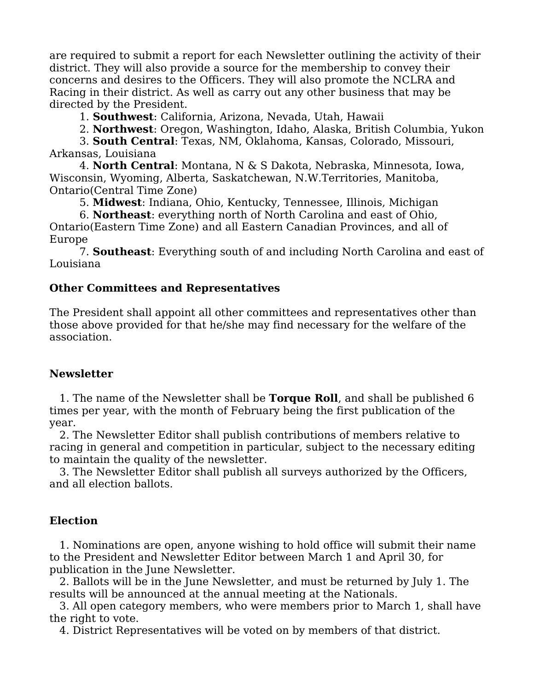are required to submit a report for each Newsletter outlining the activity of their district. They will also provide a source for the membership to convey their concerns and desires to the Officers. They will also promote the NCLRA and Racing in their district. As well as carry out any other business that may be directed by the President.

1. **Southwest**: California, Arizona, Nevada, Utah, Hawaii

2. **Northwest**: Oregon, Washington, Idaho, Alaska, British Columbia, Yukon

3. **South Central**: Texas, NM, Oklahoma, Kansas, Colorado, Missouri, Arkansas, Louisiana

4. **North Central**: Montana, N & S Dakota, Nebraska, Minnesota, Iowa, Wisconsin, Wyoming, Alberta, Saskatchewan, N.W.Territories, Manitoba, Ontario(Central Time Zone)

5. **Midwest**: Indiana, Ohio, Kentucky, Tennessee, Illinois, Michigan

6. **Northeast**: everything north of North Carolina and east of Ohio, Ontario(Eastern Time Zone) and all Eastern Canadian Provinces, and all of Europe

7. **Southeast**: Everything south of and including North Carolina and east of Louisiana

#### **Other Committees and Representatives**

The President shall appoint all other committees and representatives other than those above provided for that he/she may find necessary for the welfare of the association.

#### **Newsletter**

1. The name of the Newsletter shall be **Torque Roll**, and shall be published 6 times per year, with the month of February being the first publication of the year.

2. The Newsletter Editor shall publish contributions of members relative to racing in general and competition in particular, subject to the necessary editing to maintain the quality of the newsletter.

3. The Newsletter Editor shall publish all surveys authorized by the Officers, and all election ballots.

# **Election**

1. Nominations are open, anyone wishing to hold office will submit their name to the President and Newsletter Editor between March 1 and April 30, for publication in the June Newsletter.

2. Ballots will be in the June Newsletter, and must be returned by July 1. The results will be announced at the annual meeting at the Nationals.

3. All open category members, who were members prior to March 1, shall have the right to vote.

4. District Representatives will be voted on by members of that district.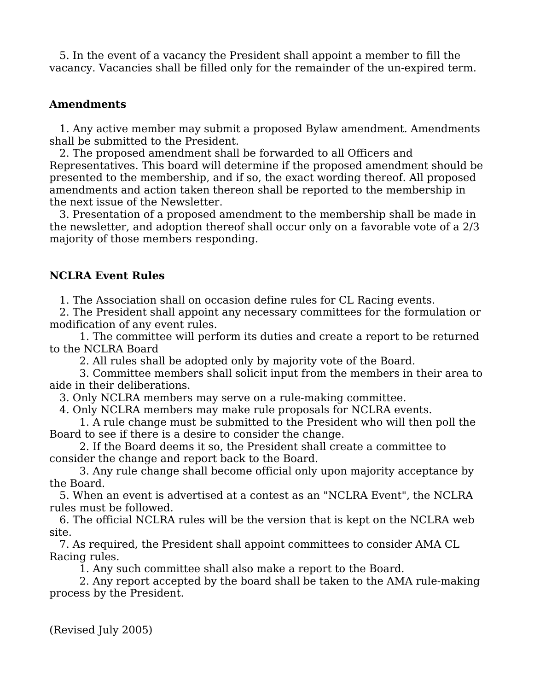5. In the event of a vacancy the President shall appoint a member to fill the vacancy. Vacancies shall be filled only for the remainder of the un-expired term.

#### **Amendments**

1. Any active member may submit a proposed Bylaw amendment. Amendments shall be submitted to the President.

2. The proposed amendment shall be forwarded to all Officers and Representatives. This board will determine if the proposed amendment should be presented to the membership, and if so, the exact wording thereof. All proposed amendments and action taken thereon shall be reported to the membership in the next issue of the Newsletter.

3. Presentation of a proposed amendment to the membership shall be made in the newsletter, and adoption thereof shall occur only on a favorable vote of a 2/3 majority of those members responding.

#### **NCLRA Event Rules**

1. The Association shall on occasion define rules for CL Racing events.

2. The President shall appoint any necessary committees for the formulation or modification of any event rules.

1. The committee will perform its duties and create a report to be returned to the NCLRA Board

2. All rules shall be adopted only by majority vote of the Board.

3. Committee members shall solicit input from the members in their area to aide in their deliberations.

3. Only NCLRA members may serve on a rule-making committee.

4. Only NCLRA members may make rule proposals for NCLRA events.

1. A rule change must be submitted to the President who will then poll the Board to see if there is a desire to consider the change.

2. If the Board deems it so, the President shall create a committee to consider the change and report back to the Board.

3. Any rule change shall become official only upon majority acceptance by the Board.

5. When an event is advertised at a contest as an "NCLRA Event", the NCLRA rules must be followed.

6. The official NCLRA rules will be the version that is kept on the NCLRA web site.

7. As required, the President shall appoint committees to consider AMA CL Racing rules.

1. Any such committee shall also make a report to the Board.

2. Any report accepted by the board shall be taken to the AMA rule-making process by the President.

(Revised July 2005)